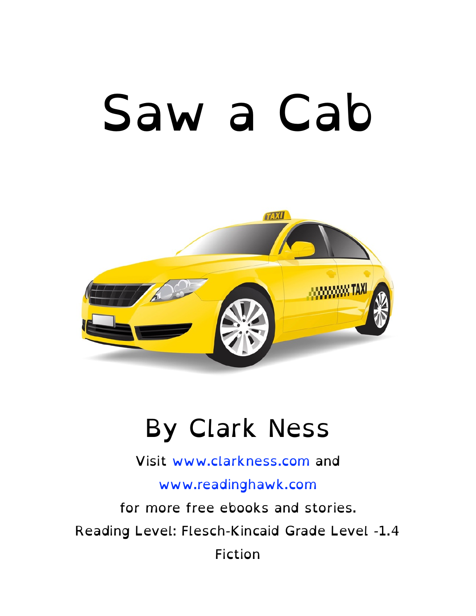# Saw a Cab



#### By Clark Ness

Visit [www.clarkness.com](http://www.clarkness.com) and

#### [www.readinghawk.com](http://www.readinghawk.com)

for more free ebooks and stories. Reading Level: Flesch-Kincaid Grade Level -1.4 Fiction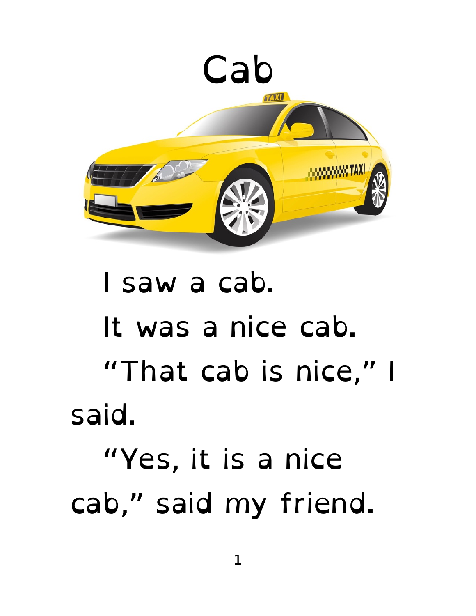

#### I saw a cab. It was a nice cab. "That cab is nice," I said. "Yes, it is a nice cab," said my friend.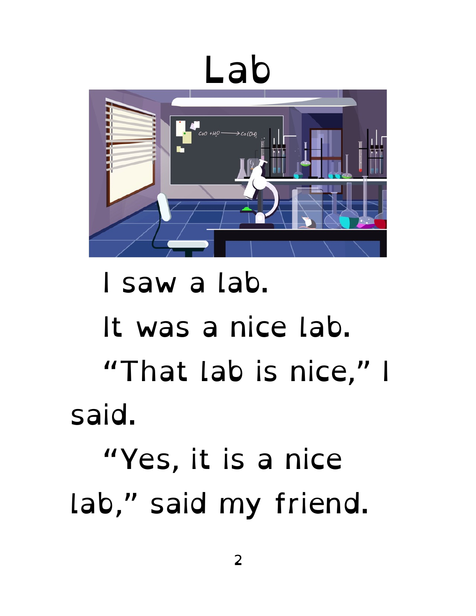## Lab



#### I saw a lab. It was a nice lab. "That lab is nice," I said. "Yes, it is a nice lab," said my friend.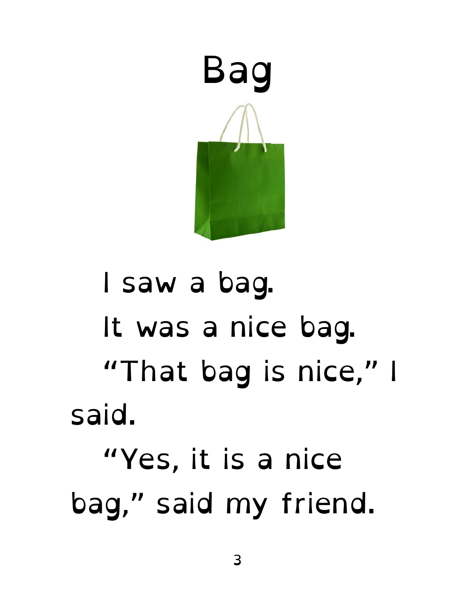

#### I saw a bag. It was a nice bag. "That bag is nice," I said. "Yes, it is a nice bag," said my friend.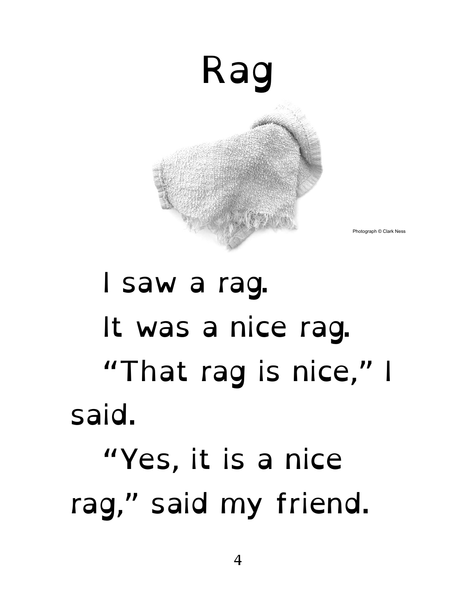

Photograph © Clark Ness

#### I saw a rag. It was a nice rag. "That rag is nice," I said. "Yes, it is a nice rag," said my friend.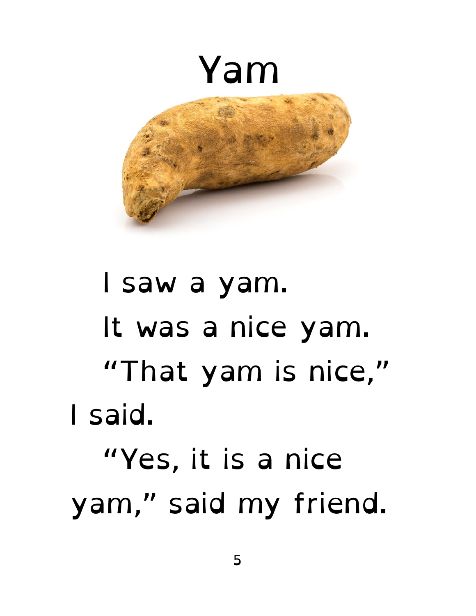

#### I saw a yam. It was a nice yam. "That yam is nice," I said. "Yes, it is a nice yam," said my friend.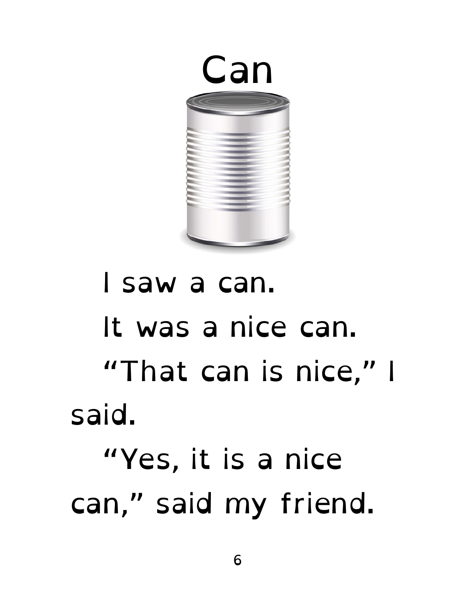

#### I saw a can. It was a nice can. "That can is nice," I said. "Yes, it is a nice can," said my friend.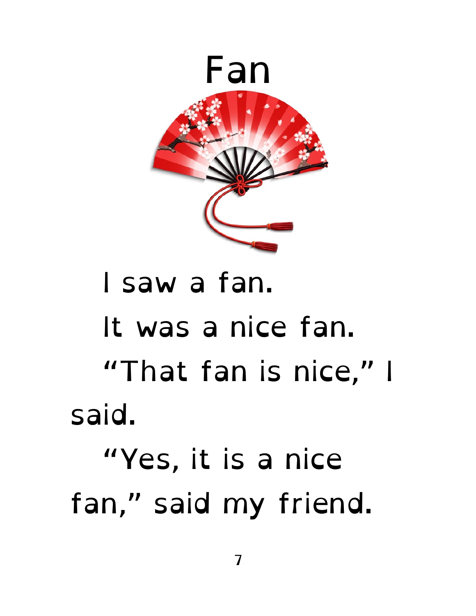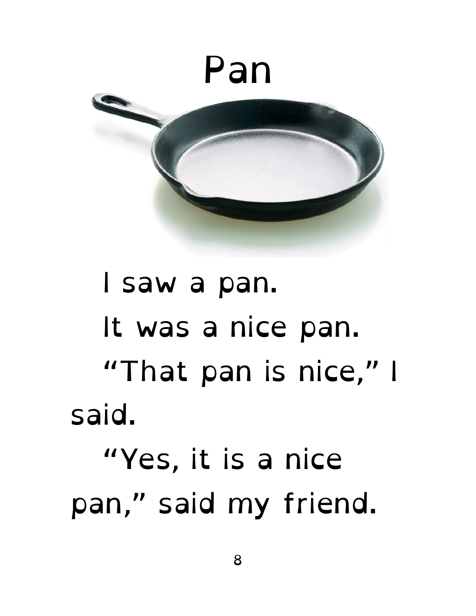![](_page_8_Picture_0.jpeg)

#### I saw a pan. It was a nice pan. "That pan is nice," I said. "Yes, it is a nice pan," said my friend.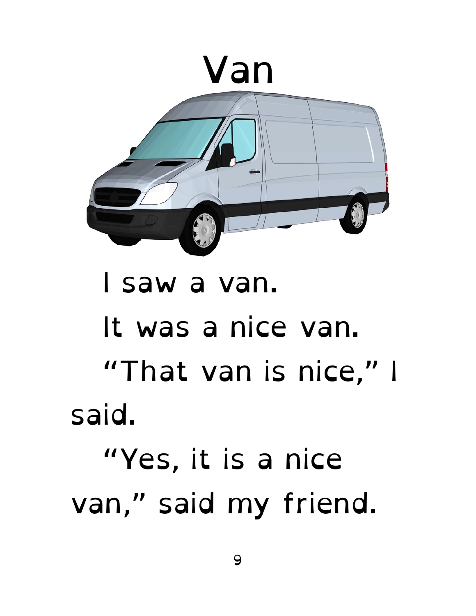![](_page_9_Picture_0.jpeg)

#### I saw a van. It was a nice van. "That van is nice," I said. "Yes, it is a nice van," said my friend.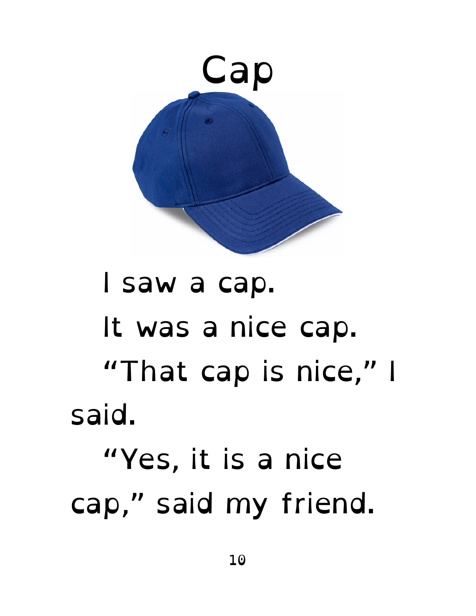![](_page_10_Picture_0.jpeg)

#### I saw a cap. It was a nice cap. "That cap is nice," I said. "Yes, it is a nice cap," said my friend.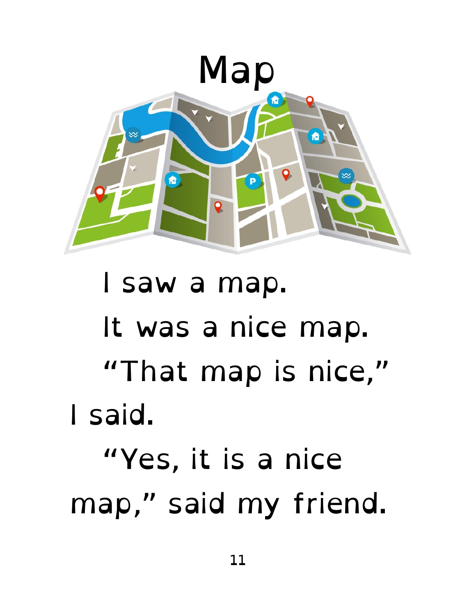![](_page_11_Picture_0.jpeg)

### I saw a map. It was a nice map. "That map is nice," I said. "Yes, it is a nice map," said my friend.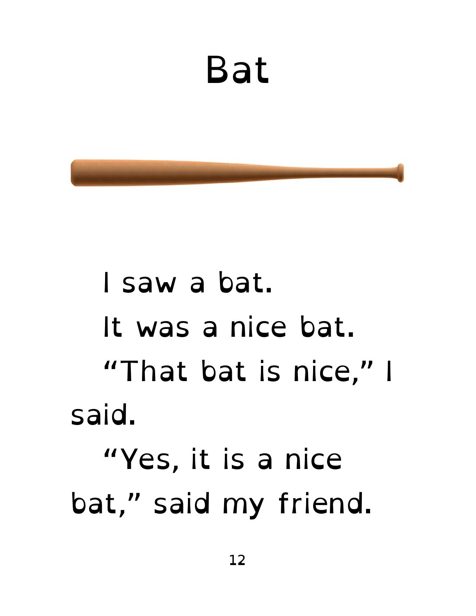#### Bat

 I saw a bat. It was a nice bat. "That bat is nice," I said. "Yes, it is a nice bat," said my friend.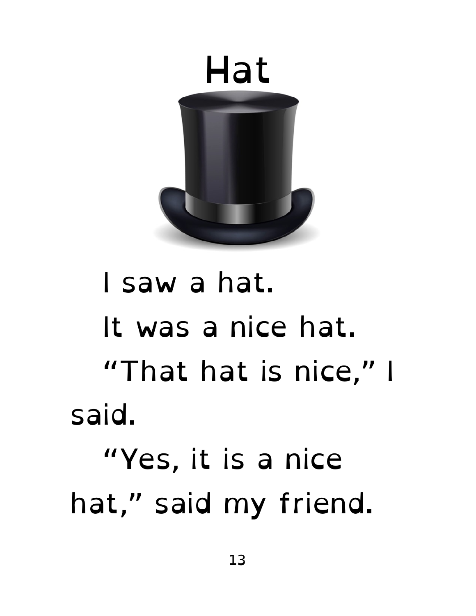![](_page_13_Picture_0.jpeg)

#### I saw a hat. It was a nice hat. "That hat is nice," I said. "Yes, it is a nice hat," said my friend.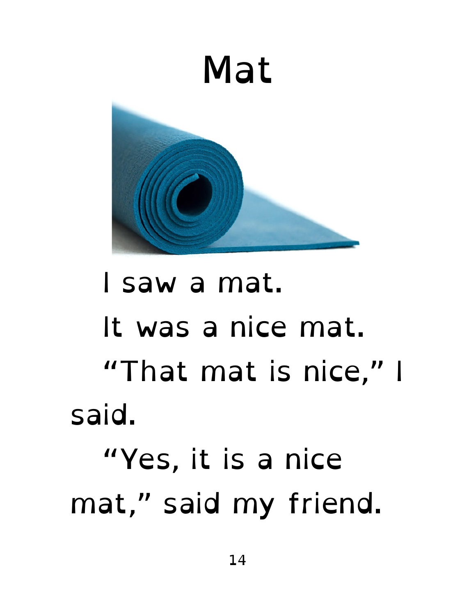![](_page_14_Picture_0.jpeg)

#### I saw a mat. It was a nice mat. "That mat is nice," I said. "Yes, it is a nice mat," said my friend.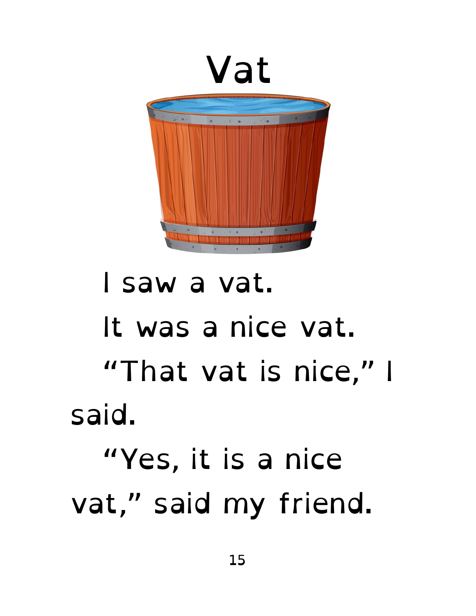![](_page_15_Picture_0.jpeg)

#### I saw a vat. It was a nice vat. "That vat is nice," I said. "Yes, it is a nice vat," said my friend.